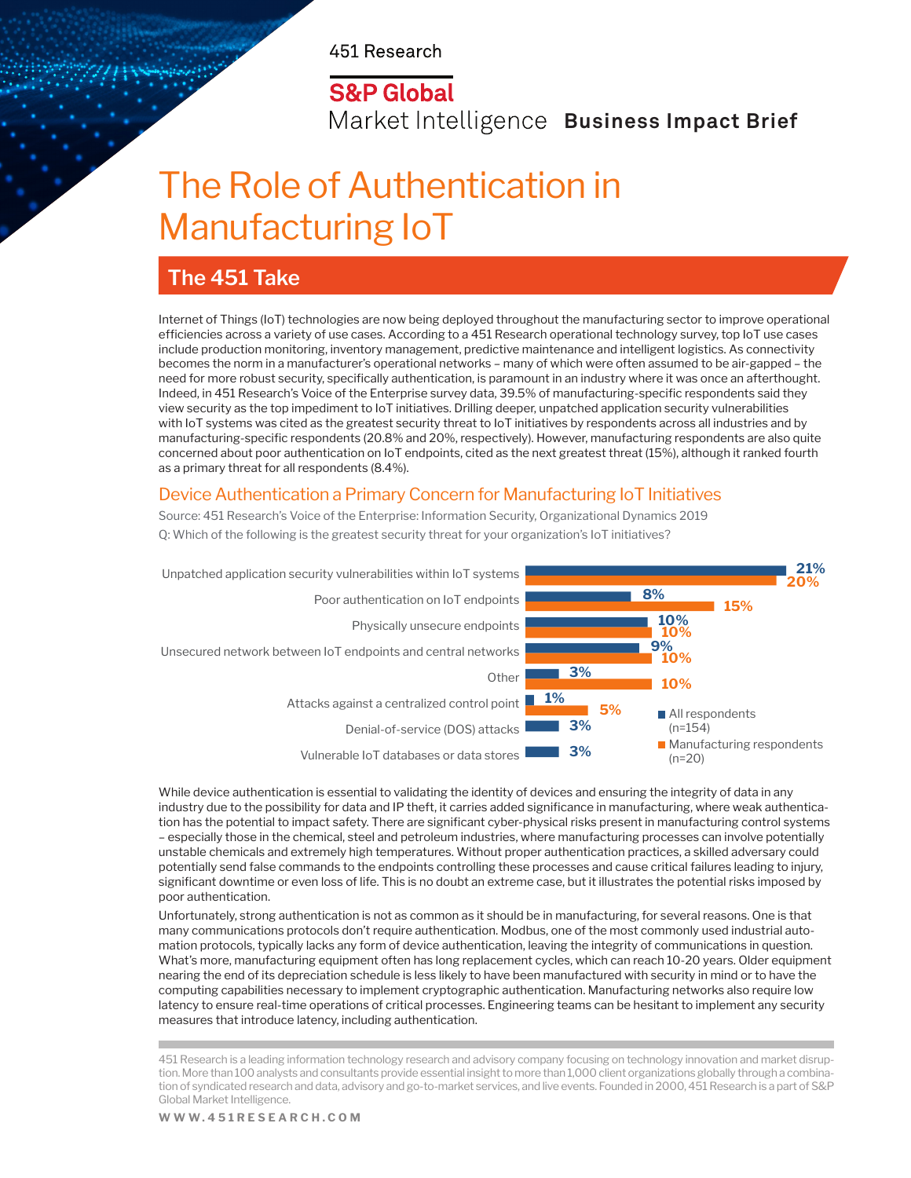451 Research

# **S&P Global**

Market Intelligence Business Impact Brief

# The Role of Authentication in Manufacturing IoT

# **The 451 Take**

Internet of Things (IoT) technologies are now being deployed throughout the manufacturing sector to improve operational efficiencies across a variety of use cases. According to a 451 Research operational technology survey, top IoT use cases include production monitoring, inventory management, predictive maintenance and intelligent logistics. As connectivity becomes the norm in a manufacturer's operational networks – many of which were often assumed to be air-gapped – the need for more robust security, specifically authentication, is paramount in an industry where it was once an afterthought. Indeed, in 451 Research's Voice of the Enterprise survey data, 39.5% of manufacturing-specific respondents said they view security as the top impediment to IoT initiatives. Drilling deeper, unpatched application security vulnerabilities with IoT systems was cited as the greatest security threat to IoT initiatives by respondents across all industries and by manufacturing-specific respondents (20.8% and 20%, respectively). However, manufacturing respondents are also quite concerned about poor authentication on IoT endpoints, cited as the next greatest threat (15%), although it ranked fourth as a primary threat for all respondents (8.4%).

#### Device Authentication a Primary Concern for Manufacturing IoT Initiatives

Source: 451 Research's Voice of the Enterprise: Information Security, Organizational Dynamics 2019 Q: Which of the following is the greatest security threat for your organization's IoT initiatives?



While device authentication is essential to validating the identity of devices and ensuring the integrity of data in any industry due to the possibility for data and IP theft, it carries added significance in manufacturing, where weak authentication has the potential to impact safety. There are significant cyber-physical risks present in manufacturing control systems – especially those in the chemical, steel and petroleum industries, where manufacturing processes can involve potentially unstable chemicals and extremely high temperatures. Without proper authentication practices, a skilled adversary could potentially send false commands to the endpoints controlling these processes and cause critical failures leading to injury, significant downtime or even loss of life. This is no doubt an extreme case, but it illustrates the potential risks imposed by poor authentication.

Unfortunately, strong authentication is not as common as it should be in manufacturing, for several reasons. One is that many communications protocols don't require authentication. Modbus, one of the most commonly used industrial automation protocols, typically lacks any form of device authentication, leaving the integrity of communications in question. What's more, manufacturing equipment often has long replacement cycles, which can reach 10-20 years. Older equipment nearing the end of its depreciation schedule is less likely to have been manufactured with security in mind or to have the computing capabilities necessary to implement cryptographic authentication. Manufacturing networks also require low latency to ensure real-time operations of critical processes. Engineering teams can be hesitant to implement any security measures that introduce latency, including authentication.

451 Research is a leading information technology research and advisory company focusing on technology innovation and market disruption. More than 100 analysts and consultants provide essential insight to more than 1,000 client organizations globally through a combination of syndicated research and data, advisory and go-to-market services, and live events. Founded in 2000, 451 Research is a part of S&P Global Market Intelligence.